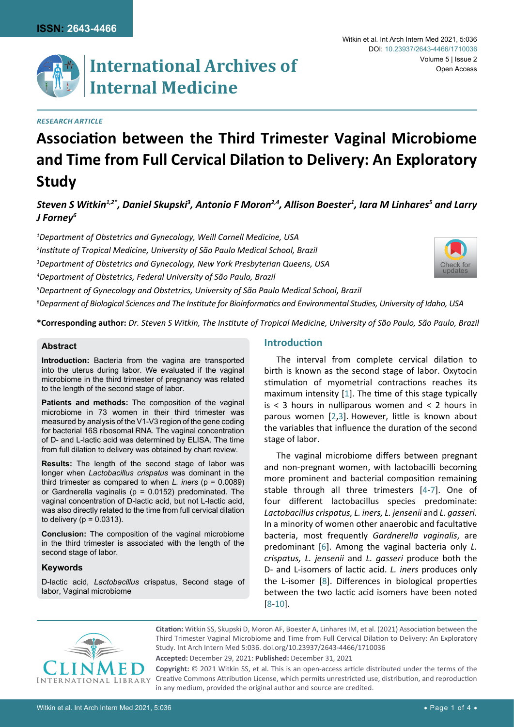

# *Research Article*

# **Association between the Third Trimester Vaginal Microbiome and Time from Full Cervical Dilation to Delivery: An Exploratory Study**

 $\bm{S}$ teven S Witkin $^{1,2^*}$ , Daniel Skupski $^3$ , Antonio F Moron $^{2,4}$ , Allison Boester $^1$ , Iara M Linhares $^5$  and Larry *J Forney6*

 *Department of Obstetrics and Gynecology, Weill Cornell Medicine, USA Institute of Tropical Medicine, University of São Paulo Medical School, Brazil Department of Obstetrics and Gynecology, New York Presbyterian Queens, USA Department of Obstetrics, Federal University of São Paulo, Brazil Departnent of Gynecology and Obstetrics, University of São Paulo Medical School, Brazil Deparment of Biological Sciences and The Institute for Bioinformatics and Environmental Studies, University of Idaho, USA*



**\*Corresponding author:** *Dr. Steven S Witkin, The Institute of Tropical Medicine, University of São Paulo, São Paulo, Brazil*

#### **Abstract**

**Introduction:** Bacteria from the vagina are transported into the uterus during labor. We evaluated if the vaginal microbiome in the third trimester of pregnancy was related to the length of the second stage of labor.

**Patients and methods:** The composition of the vaginal microbiome in 73 women in their third trimester was measured by analysis of the V1-V3 region of the gene coding for bacterial 16S ribosomal RNA. The vaginal concentration of D- and L-lactic acid was determined by ELISA. The time from full dilation to delivery was obtained by chart review.

**Results:** The length of the second stage of labor was longer when *Lactobacillus crispatus* was dominant in the third trimester as compared to when *L. iners* (p = 0.0089) or Gardnerella vaginalis ( $p = 0.0152$ ) predominated. The vaginal concentration of D-lactic acid, but not L-lactic acid, was also directly related to the time from full cervical dilation to delivery ( $p = 0.0313$ ).

**Conclusion:** The composition of the vaginal microbiome in the third trimester is associated with the length of the second stage of labor.

## **Keywords**

D-lactic acid, *Lactobacillus* crispatus, Second stage of labor, Vaginal microbiome

#### **Introduction**

The interval from complete cervical dilation to birth is known as the second stage of labor. Oxytocin stimulation of myometrial contractions reaches its maximum intensity [[1](#page-2-0)]. The time of this stage typically is < 3 hours in nulliparous women and < 2 hours in parous women [[2](#page-2-1),[3](#page-2-2)]. However, little is known about the variables that influence the duration of the second stage of labor.

The vaginal microbiome differs between pregnant and non-pregnant women, with lactobacilli becoming more prominent and bacterial composition remaining stable through all three trimesters [[4](#page-2-3)-[7](#page-2-4)]. One of four different lactobacillus species predominate: *Lactobacillus crispatus, L. iners, L. jensenii* and *L. gasseri.* In a minority of women other anaerobic and facultative bacteria, most frequently *Gardnerella vaginalis*, are predominant [[6](#page-2-5)]. Among the vaginal bacteria only *L. crispatus, L. jensenii* and *L. gasseri* produce both the D- and L-isomers of lactic acid. *L. iners* produces only the L-isomer [[8](#page-2-6)]. Differences in biological properties between the two lactic acid isomers have been noted [[8](#page-2-6)-[10\]](#page-2-7).



**Citation:** Witkin SS, Skupski D, Moron AF, Boester A, Linhares IM, et al. (2021) Association between the Third Trimester Vaginal Microbiome and Time from Full Cervical Dilation to Delivery: An Exploratory Study. Int Arch Intern Med 5:036. [doi.org/10.23937/2643-4466/1710036](https://doi.org/10.23937/2643-4466/1710036)

**Accepted:** December 29, 2021: **Published:** December 31, 2021

**Copyright:** © 2021 Witkin SS, et al. This is an open-access article distributed under the terms of the Creative Commons Attribution License, which permits unrestricted use, distribution, and reproduction in any medium, provided the original author and source are credited.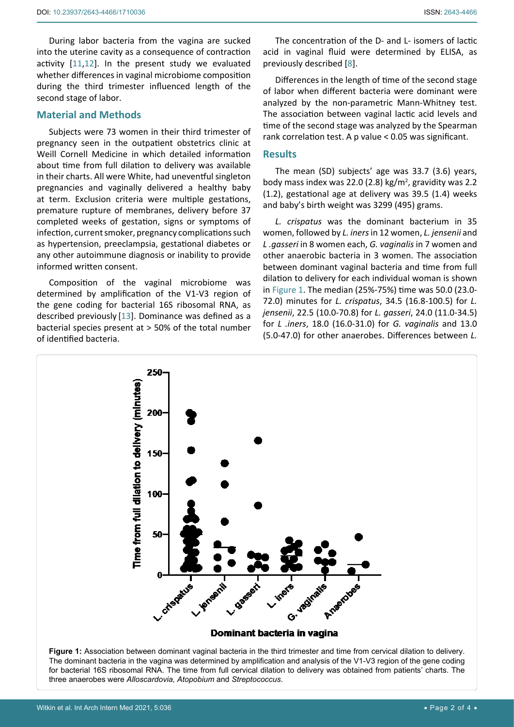During labor bacteria from the vagina are sucked into the uterine cavity as a consequence of contraction activity [[11](#page-2-8),[12](#page-2-9)]. In the present study we evaluated whether differences in vaginal microbiome composition during the third trimester influenced length of the second stage of labor.

## **Material and Methods**

Subjects were 73 women in their third trimester of pregnancy seen in the outpatient obstetrics clinic at Weill Cornell Medicine in which detailed information about time from full dilation to delivery was available in their charts. All were White, had uneventful singleton pregnancies and vaginally delivered a healthy baby at term. Exclusion criteria were multiple gestations, premature rupture of membranes, delivery before 37 completed weeks of gestation, signs or symptoms of infection, current smoker, pregnancy complications such as hypertension, preeclampsia, gestational diabetes or any other autoimmune diagnosis or inability to provide informed written consent.

Composition of the vaginal microbiome was determined by amplification of the V1-V3 region of the gene coding for bacterial 16S ribosomal RNA, as described previously [\[13\]](#page-2-10). Dominance was defined as a bacterial species present at > 50% of the total number of identified bacteria.

The concentration of the D- and L- isomers of lactic acid in vaginal fluid were determined by ELISA, as previously described [[8](#page-2-6)].

Differences in the length of time of the second stage of labor when different bacteria were dominant were analyzed by the non-parametric Mann-Whitney test. The association between vaginal lactic acid levels and time of the second stage was analyzed by the Spearman rank correlation test. A p value < 0.05 was significant.

#### **Results**

The mean (SD) subjects' age was 33.7 (3.6) years, body mass index was 22.0 (2.8)  $kg/m^2$ , gravidity was 2.2 (1.2), gestational age at delivery was 39.5 (1.4) weeks and baby's birth weight was 3299 (495) grams.

*L. crispatus* was the dominant bacterium in 35 women, followed by *L. iners* in 12 women, *L. jensenii* and *L .gasseri* in 8 women each, *G. vaginalis* in 7 women and other anaerobic bacteria in 3 women. The association between dominant vaginal bacteria and time from full dilation to delivery for each individual woman is shown in [Figure 1](#page-1-0). The median (25%-75%) time was 50.0 (23.0- 72.0) minutes for *L. crispatus*, 34.5 (16.8-100.5) for *L. jensenii*, 22.5 (10.0-70.8) for *L. gasseri*, 24.0 (11.0-34.5) for *L .iners*, 18.0 (16.0-31.0) for *G. vaginalis* and 13.0 (5.0-47.0) for other anaerobes. Differences between *L.* 

<span id="page-1-0"></span>

The dominant bacteria in the vagina was determined by amplification and analysis of the V1-V3 region of the gene coding for bacterial 16S ribosomal RNA. The time from full cervical dilation to delivery was obtained from patients' charts. The three anaerobes were *Alloscardovia, Atopobium* and *Streptococcus*.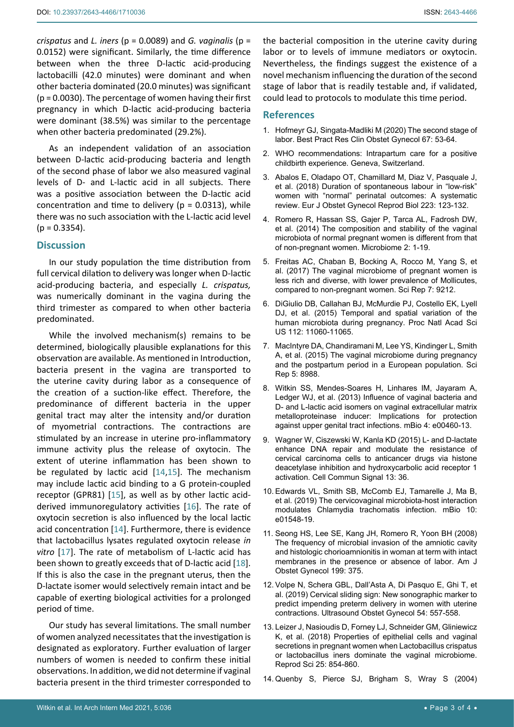*crispatus* and *L. iners* (p = 0.0089) and *G. vaginalis* (p = 0.0152) were significant. Similarly, the time difference between when the three D-lactic acid-producing lactobacilli (42.0 minutes) were dominant and when other bacteria dominated (20.0 minutes) was significant  $(p = 0.0030)$ . The percentage of women having their first pregnancy in which D-lactic acid-producing bacteria were dominant (38.5%) was similar to the percentage when other bacteria predominated (29.2%).

As an independent validation of an association between D-lactic acid-producing bacteria and length of the second phase of labor we also measured vaginal levels of D- and L-lactic acid in all subjects. There was a positive association between the D-lactic acid concentration and time to delivery ( $p = 0.0313$ ), while there was no such association with the L-lactic acid level  $(p = 0.3354)$ .

# **Discussion**

In our study population the time distribution from full cervical dilation to delivery was longer when D-lactic acid-producing bacteria, and especially *L. crispatus,*  was numerically dominant in the vagina during the third trimester as compared to when other bacteria predominated.

While the involved mechanism(s) remains to be determined, biologically plausible explanations for this observation are available. As mentioned in Introduction, bacteria present in the vagina are transported to the uterine cavity during labor as a consequence of the creation of a suction-like effect. Therefore, the predominance of different bacteria in the upper genital tract may alter the intensity and/or duration of myometrial contractions. The contractions are stimulated by an increase in uterine pro-inflammatory immune activity plus the release of oxytocin. The extent of uterine inflammation has been shown to be regulated by lactic acid [\[14](#page-2-11),[15](#page-3-0)]. The mechanism may include lactic acid binding to a G protein-coupled receptor (GPR81) [[15\]](#page-3-0), as well as by other lactic acidderived immunoregulatory activities [\[16](#page-3-1)]. The rate of oxytocin secretion is also influenced by the local lactic acid concentration [[14\]](#page-2-11). Furthermore, there is evidence that lactobacillus lysates regulated oxytocin release *in*  vitro [\[17\]](#page-3-2). The rate of metabolism of L-lactic acid has been shown to greatly exceeds that of D-lactic acid [[18](#page-3-3)]. If this is also the case in the pregnant uterus, then the D-lactate isomer would selectively remain intact and be capable of exerting biological activities for a prolonged period of time.

Our study has several limitations. The small number of women analyzed necessitates that the investigation is designated as exploratory. Further evaluation of larger numbers of women is needed to confirm these initial observations. In addition, we did not determine if vaginal bacteria present in the third trimester corresponded to

the bacterial composition in the uterine cavity during labor or to levels of immune mediators or oxytocin. Nevertheless, the findings suggest the existence of a novel mechanism influencing the duration of the second stage of labor that is readily testable and, if validated, could lead to protocols to modulate this time period.

#### **References**

- <span id="page-2-0"></span>1. [Hofmeyr GJ, Singata-Madliki M \(2020\) The second stage of](https://pubmed.ncbi.nlm.nih.gov/32360366/)  [labor. Best Pract Res Clin Obstet Gynecol 67: 53-64.](https://pubmed.ncbi.nlm.nih.gov/32360366/)
- <span id="page-2-1"></span>2. [WHO recommendations: Intrapartum care for a positive](https://www.who.int/reproductivehealth/publications/intrapartum-care-guidelines/en/)  [childbirth experience. Geneva, Switzerland.](https://www.who.int/reproductivehealth/publications/intrapartum-care-guidelines/en/)
- <span id="page-2-2"></span>3. [Abalos E, Oladapo OT, Chamillard M, Diaz V, Pasquale J,](https://pubmed.ncbi.nlm.nih.gov/29518643/)  [et al. \(2018\) Duration of spontaneous labour in "low-risk"](https://pubmed.ncbi.nlm.nih.gov/29518643/)  [women with "normal" perinatal outcomes: A systematic](https://pubmed.ncbi.nlm.nih.gov/29518643/)  [review. Eur J Obstet Gynecol Reprod Biol 223: 123-132.](https://pubmed.ncbi.nlm.nih.gov/29518643/)
- <span id="page-2-3"></span>4. [Romero R, Hassan SS, Gajer P, Tarca AL, Fadrosh DW,](https://microbiomejournal.biomedcentral.com/articles/10.1186/2049-2618-2-4)  [et al. \(2014\) The composition and stability of the vaginal](https://microbiomejournal.biomedcentral.com/articles/10.1186/2049-2618-2-4)  [microbiota of normal pregnant women is different from that](https://microbiomejournal.biomedcentral.com/articles/10.1186/2049-2618-2-4)  [of non-pregnant women. Microbiome 2: 1-19.](https://microbiomejournal.biomedcentral.com/articles/10.1186/2049-2618-2-4)
- 5. [Freitas AC, Chaban B, Bocking A, Rocco M, Yang S, et](https://pubmed.ncbi.nlm.nih.gov/28835692/)  [al. \(2017\) The vaginal microbiome of pregnant women is](https://pubmed.ncbi.nlm.nih.gov/28835692/)  [less rich and diverse, with lower prevalence of Mollicutes,](https://pubmed.ncbi.nlm.nih.gov/28835692/)  [compared to non-pregnant women. Sci Rep 7: 9212.](https://pubmed.ncbi.nlm.nih.gov/28835692/)
- <span id="page-2-5"></span>6. [DiGiulio DB, Callahan BJ, McMurdie PJ, Costello EK, Lyell](https://pubmed.ncbi.nlm.nih.gov/26283357/)  [DJ, et al. \(2015\) Temporal and spatial variation of the](https://pubmed.ncbi.nlm.nih.gov/26283357/)  [human microbiota during pregnancy. Proc Natl Acad Sci](https://pubmed.ncbi.nlm.nih.gov/26283357/)  [US 112: 11060-11065.](https://pubmed.ncbi.nlm.nih.gov/26283357/)
- <span id="page-2-4"></span>7. [MacIntyre DA, Chandiramani M, Lee YS, Kindinger L, Smith](https://pubmed.ncbi.nlm.nih.gov/25758319/)  [A, et al. \(2015\) The vaginal microbiome during pregnancy](https://pubmed.ncbi.nlm.nih.gov/25758319/)  [and the postpartum period in a European population. Sci](https://pubmed.ncbi.nlm.nih.gov/25758319/)  [Rep 5: 8988.](https://pubmed.ncbi.nlm.nih.gov/25758319/)
- <span id="page-2-6"></span>8. [Witkin SS, Mendes-Soares H, Linhares IM, Jayaram A,](https://pubmed.ncbi.nlm.nih.gov/23919998/)  [Ledger WJ, et al. \(2013\) Influence of vaginal bacteria and](https://pubmed.ncbi.nlm.nih.gov/23919998/)  [D- and L-lactic acid isomers on vaginal extracellular matrix](https://pubmed.ncbi.nlm.nih.gov/23919998/)  [metalloproteinase inducer: Implications for protection](https://pubmed.ncbi.nlm.nih.gov/23919998/)  [against upper genital tract infections. mBio 4: e00460-13.](https://pubmed.ncbi.nlm.nih.gov/23919998/)
- 9. [Wagner W, Ciszewski W, Kanla KD \(2015\) L- and D-lactate](https://pubmed.ncbi.nlm.nih.gov/26208712/)  [enhance DNA repair and modulate the resistance of](https://pubmed.ncbi.nlm.nih.gov/26208712/)  [cervical carcinoma cells to anticancer drugs via histone](https://pubmed.ncbi.nlm.nih.gov/26208712/)  [deacetylase inhibition and hydroxycarbolic acid receptor 1](https://pubmed.ncbi.nlm.nih.gov/26208712/)  [activation. Cell Commun Signal 13: 36.](https://pubmed.ncbi.nlm.nih.gov/26208712/)
- <span id="page-2-7"></span>10. [Edwards VL, Smith SB, McComb EJ, Tamarelle J, Ma B,](https://pubmed.ncbi.nlm.nih.gov/31409678/)  [et al. \(2019\) The cervicovaginal microbiota-host interaction](https://pubmed.ncbi.nlm.nih.gov/31409678/)  [modulates Chlamydia trachomatis infection. mBio 10:](https://pubmed.ncbi.nlm.nih.gov/31409678/)  [e01548-19.](https://pubmed.ncbi.nlm.nih.gov/31409678/)
- <span id="page-2-8"></span>11. [Seong HS, Lee SE, Kang JH, Romero R, Yoon BH \(2008\)](https://pubmed.ncbi.nlm.nih.gov/18928978/)  [The frequency of microbial invasion of the amniotic cavity](https://pubmed.ncbi.nlm.nih.gov/18928978/)  [and histologic chorioamnionitis in woman at term with intact](https://pubmed.ncbi.nlm.nih.gov/18928978/)  [membranes in the presence or absence of labor. Am J](https://pubmed.ncbi.nlm.nih.gov/18928978/)  [Obstet Gynecol 199: 375.](https://pubmed.ncbi.nlm.nih.gov/18928978/)
- <span id="page-2-9"></span>12. [Volpe N, Schera GBL, Dall'Asta A, Di Pasquo E, Ghi T, et](https://pubmed.ncbi.nlm.nih.gov/31290211/)  [al. \(2019\) Cervical sliding sign: New sonographic marker to](https://pubmed.ncbi.nlm.nih.gov/31290211/)  [predict impending preterm delivery in women with uterine](https://pubmed.ncbi.nlm.nih.gov/31290211/)  [contractions. Ultrasound Obstet Gynecol 54: 557-558.](https://pubmed.ncbi.nlm.nih.gov/31290211/)
- <span id="page-2-10"></span>13. [Leizer J, Nasioudis D, Forney LJ, Schneider GM, Gliniewicz](https://pubmed.ncbi.nlm.nih.gov/28301987/)  [K, et al. \(2018\) Properties of epithelial cells and vaginal](https://pubmed.ncbi.nlm.nih.gov/28301987/)  [secretions in pregnant women when Lactobacillus crispatus](https://pubmed.ncbi.nlm.nih.gov/28301987/)  [or lactobacillus iners dominate the vaginal microbiome.](https://pubmed.ncbi.nlm.nih.gov/28301987/)  [Reprod Sci 25: 854-860.](https://pubmed.ncbi.nlm.nih.gov/28301987/)
- <span id="page-2-11"></span>14. [Quenby S, Pierce SJ, Brigham S, Wray S \(2004\)](https://pubmed.ncbi.nlm.nih.gov/15051564/)